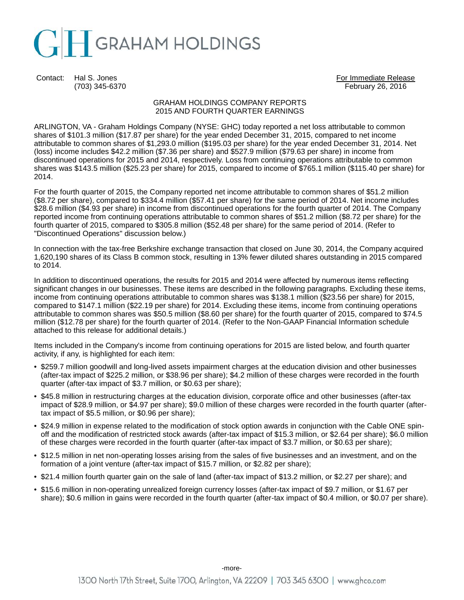

Contact: Hal S. Jones For Immediate Release For Immediate Release

(703) 345-6370 February 26, 2016

### GRAHAM HOLDINGS COMPANY REPORTS 2015 AND FOURTH QUARTER EARNINGS

ARLINGTON, VA - Graham Holdings Company (NYSE: GHC) today reported a net loss attributable to common shares of \$101.3 million (\$17.87 per share) for the year ended December 31, 2015, compared to net income attributable to common shares of \$1,293.0 million (\$195.03 per share) for the year ended December 31, 2014. Net (loss) income includes \$42.2 million (\$7.36 per share) and \$527.9 million (\$79.63 per share) in income from discontinued operations for 2015 and 2014, respectively. Loss from continuing operations attributable to common shares was \$143.5 million (\$25.23 per share) for 2015, compared to income of \$765.1 million (\$115.40 per share) for 2014.

For the fourth quarter of 2015, the Company reported net income attributable to common shares of \$51.2 million (\$8.72 per share), compared to \$334.4 million (\$57.41 per share) for the same period of 2014. Net income includes \$28.6 million (\$4.93 per share) in income from discontinued operations for the fourth quarter of 2014. The Company reported income from continuing operations attributable to common shares of \$51.2 million (\$8.72 per share) for the fourth quarter of 2015, compared to \$305.8 million (\$52.48 per share) for the same period of 2014. (Refer to "Discontinued Operations" discussion below.)

In connection with the tax-free Berkshire exchange transaction that closed on June 30, 2014, the Company acquired 1,620,190 shares of its Class B common stock, resulting in 13% fewer diluted shares outstanding in 2015 compared to 2014.

In addition to discontinued operations, the results for 2015 and 2014 were affected by numerous items reflecting significant changes in our businesses. These items are described in the following paragraphs. Excluding these items, income from continuing operations attributable to common shares was \$138.1 million (\$23.56 per share) for 2015, compared to \$147.1 million (\$22.19 per share) for 2014. Excluding these items, income from continuing operations attributable to common shares was \$50.5 million (\$8.60 per share) for the fourth quarter of 2015, compared to \$74.5 million (\$12.78 per share) for the fourth quarter of 2014. (Refer to the Non-GAAP Financial Information schedule attached to this release for additional details.)

Items included in the Company's income from continuing operations for 2015 are listed below, and fourth quarter activity, if any, is highlighted for each item:

- \$259.7 million goodwill and long-lived assets impairment charges at the education division and other businesses (after-tax impact of \$225.2 million, or \$38.96 per share); \$4.2 million of these charges were recorded in the fourth quarter (after-tax impact of \$3.7 million, or \$0.63 per share);
- \$45.8 million in restructuring charges at the education division, corporate office and other businesses (after-tax impact of \$28.9 million, or \$4.97 per share); \$9.0 million of these charges were recorded in the fourth quarter (aftertax impact of \$5.5 million, or \$0.96 per share);
- \$24.9 million in expense related to the modification of stock option awards in conjunction with the Cable ONE spinoff and the modification of restricted stock awards (after-tax impact of \$15.3 million, or \$2.64 per share); \$6.0 million of these charges were recorded in the fourth quarter (after-tax impact of \$3.7 million, or \$0.63 per share);
- \$12.5 million in net non-operating losses arising from the sales of five businesses and an investment, and on the formation of a joint venture (after-tax impact of \$15.7 million, or \$2.82 per share);
- \$21.4 million fourth quarter gain on the sale of land (after-tax impact of \$13.2 million, or \$2.27 per share); and
- \$15.6 million in non-operating unrealized foreign currency losses (after-tax impact of \$9.7 million, or \$1.67 per share); \$0.6 million in gains were recorded in the fourth quarter (after-tax impact of \$0.4 million, or \$0.07 per share).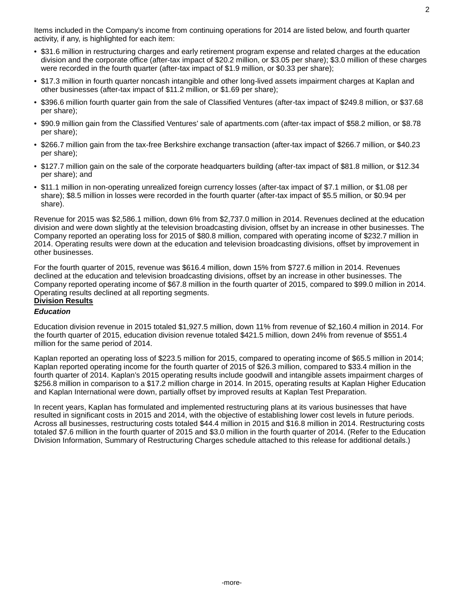- \$31.6 million in restructuring charges and early retirement program expense and related charges at the education division and the corporate office (after-tax impact of \$20.2 million, or \$3.05 per share); \$3.0 million of these charges were recorded in the fourth quarter (after-tax impact of \$1.9 million, or \$0.33 per share);
- \$17.3 million in fourth quarter noncash intangible and other long-lived assets impairment charges at Kaplan and other businesses (after-tax impact of \$11.2 million, or \$1.69 per share);
- \$396.6 million fourth quarter gain from the sale of Classified Ventures (after-tax impact of \$249.8 million, or \$37.68 per share);
- \$90.9 million gain from the Classified Ventures' sale of apartments.com (after-tax impact of \$58.2 million, or \$8.78 per share);
- \$266.7 million gain from the tax-free Berkshire exchange transaction (after-tax impact of \$266.7 million, or \$40.23 per share);
- \$127.7 million gain on the sale of the corporate headquarters building (after-tax impact of \$81.8 million, or \$12.34 per share); and
- \$11.1 million in non-operating unrealized foreign currency losses (after-tax impact of \$7.1 million, or \$1.08 per share); \$8.5 million in losses were recorded in the fourth quarter (after-tax impact of \$5.5 million, or \$0.94 per share).

Revenue for 2015 was \$2,586.1 million, down 6% from \$2,737.0 million in 2014. Revenues declined at the education division and were down slightly at the television broadcasting division, offset by an increase in other businesses. The Company reported an operating loss for 2015 of \$80.8 million, compared with operating income of \$232.7 million in 2014. Operating results were down at the education and television broadcasting divisions, offset by improvement in other businesses.

For the fourth quarter of 2015, revenue was \$616.4 million, down 15% from \$727.6 million in 2014. Revenues declined at the education and television broadcasting divisions, offset by an increase in other businesses. The Company reported operating income of \$67.8 million in the fourth quarter of 2015, compared to \$99.0 million in 2014. Operating results declined at all reporting segments. **Division Results**

## *Education*

Education division revenue in 2015 totaled \$1,927.5 million, down 11% from revenue of \$2,160.4 million in 2014. For the fourth quarter of 2015, education division revenue totaled \$421.5 million, down 24% from revenue of \$551.4 million for the same period of 2014.

Kaplan reported an operating loss of \$223.5 million for 2015, compared to operating income of \$65.5 million in 2014; Kaplan reported operating income for the fourth quarter of 2015 of \$26.3 million, compared to \$33.4 million in the fourth quarter of 2014. Kaplan's 2015 operating results include goodwill and intangible assets impairment charges of \$256.8 million in comparison to a \$17.2 million charge in 2014. In 2015, operating results at Kaplan Higher Education and Kaplan International were down, partially offset by improved results at Kaplan Test Preparation.

In recent years, Kaplan has formulated and implemented restructuring plans at its various businesses that have resulted in significant costs in 2015 and 2014, with the objective of establishing lower cost levels in future periods. Across all businesses, restructuring costs totaled \$44.4 million in 2015 and \$16.8 million in 2014. Restructuring costs totaled \$7.6 million in the fourth quarter of 2015 and \$3.0 million in the fourth quarter of 2014. (Refer to the Education Division Information, Summary of Restructuring Charges schedule attached to this release for additional details.)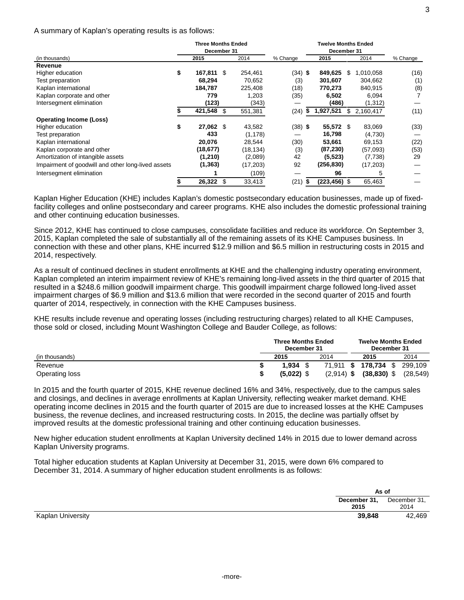#### A summary of Kaplan's operating results is as follows:

|                                                    |    | <b>Three Months Ended</b><br>December 31 |      |           |           | <b>Twelve Months Ended</b><br>December 31 |   |           |          |  |
|----------------------------------------------------|----|------------------------------------------|------|-----------|-----------|-------------------------------------------|---|-----------|----------|--|
| (in thousands)                                     |    | 2015                                     | 2014 |           | % Change  | 2015                                      |   | 2014      | % Change |  |
| Revenue                                            |    |                                          |      |           |           |                                           |   |           |          |  |
| Higher education                                   | \$ | 167,811 \$                               |      | 254,461   | $(34)$ \$ | 849,625                                   | S | 1,010,058 | (16)     |  |
| Test preparation                                   |    | 68,294                                   |      | 70,652    | (3)       | 301,607                                   |   | 304,662   | (1)      |  |
| Kaplan international                               |    | 184,787                                  |      | 225,408   | (18)      | 770,273                                   |   | 840,915   | (8)      |  |
| Kaplan corporate and other                         |    | 779                                      |      | 1,203     | (35)      | 6,502                                     |   | 6,094     |          |  |
| Intersegment elimination                           |    | (123)                                    |      | (343)     |           | (486)                                     |   | (1, 312)  |          |  |
|                                                    |    | 421,548                                  | \$.  | 551,381   | (24)      | 1,927,521                                 | S | 2,160,417 | (11)     |  |
| <b>Operating Income (Loss)</b>                     |    |                                          |      |           |           |                                           |   |           |          |  |
| Higher education                                   | \$ | 27,062 \$                                |      | 43,582    | $(38)$ \$ | 55,572 \$                                 |   | 83,069    | (33)     |  |
| Test preparation                                   |    | 433                                      |      | (1, 178)  |           | 16,798                                    |   | (4,730)   |          |  |
| Kaplan international                               |    | 20,076                                   |      | 28,544    | (30)      | 53,661                                    |   | 69,153    | (22)     |  |
| Kaplan corporate and other                         |    | (18,677)                                 |      | (18,134)  | (3)       | (87, 230)                                 |   | (57,093)  | (53)     |  |
| Amortization of intangible assets                  |    | (1,210)                                  |      | (2.089)   | 42        | (5, 523)                                  |   | (7, 738)  | 29       |  |
| Impairment of goodwill and other long-lived assets |    | (1, 363)                                 |      | (17, 203) | 92        | (256, 830)                                |   | (17, 203) |          |  |
| Intersegment elimination                           |    |                                          |      | (109)     |           | 96                                        |   | 5         |          |  |
|                                                    |    | 26,322                                   | -\$  | 33,413    | (21)      | \$<br>$(223, 456)$ \$                     |   | 65,463    |          |  |

Kaplan Higher Education (KHE) includes Kaplan's domestic postsecondary education businesses, made up of fixedfacility colleges and online postsecondary and career programs. KHE also includes the domestic professional training and other continuing education businesses.

Since 2012, KHE has continued to close campuses, consolidate facilities and reduce its workforce. On September 3, 2015, Kaplan completed the sale of substantially all of the remaining assets of its KHE Campuses business. In connection with these and other plans, KHE incurred \$12.9 million and \$6.5 million in restructuring costs in 2015 and 2014, respectively.

As a result of continued declines in student enrollments at KHE and the challenging industry operating environment, Kaplan completed an interim impairment review of KHE's remaining long-lived assets in the third quarter of 2015 that resulted in a \$248.6 million goodwill impairment charge. This goodwill impairment charge followed long-lived asset impairment charges of \$6.9 million and \$13.6 million that were recorded in the second quarter of 2015 and fourth quarter of 2014, respectively, in connection with the KHE Campuses business.

KHE results include revenue and operating losses (including restructuring charges) related to all KHE Campuses, those sold or closed, including Mount Washington College and Bauder College, as follows:

|                       |  | <b>Three Months Ended</b><br>December 31 |              | <b>Twelve Months Ended</b><br>December 31 |           |
|-----------------------|--|------------------------------------------|--------------|-------------------------------------------|-----------|
| (in thousands)        |  | 2015                                     | 2014         | 2015                                      | 2014      |
| Revenue               |  | 1.934                                    | $71.911$ \$  | 178.734 \$                                | 299.109   |
| <b>Operating loss</b> |  | $(5.022)$ \$                             | $(2,914)$ \$ | $(38, 830)$ \$                            | (28, 549) |

In 2015 and the fourth quarter of 2015, KHE revenue declined 16% and 34%, respectively, due to the campus sales and closings, and declines in average enrollments at Kaplan University, reflecting weaker market demand. KHE operating income declines in 2015 and the fourth quarter of 2015 are due to increased losses at the KHE Campuses business, the revenue declines, and increased restructuring costs. In 2015, the decline was partially offset by improved results at the domestic professional training and other continuing education businesses.

New higher education student enrollments at Kaplan University declined 14% in 2015 due to lower demand across Kaplan University programs.

Total higher education students at Kaplan University at December 31, 2015, were down 6% compared to December 31, 2014. A summary of higher education student enrollments is as follows:

|                                    | As of                        |        |
|------------------------------------|------------------------------|--------|
|                                    | December 31,<br>December 31, |        |
| 2015                               |                              | 2014   |
| 39,848<br><b>Kaplan University</b> |                              | 42,469 |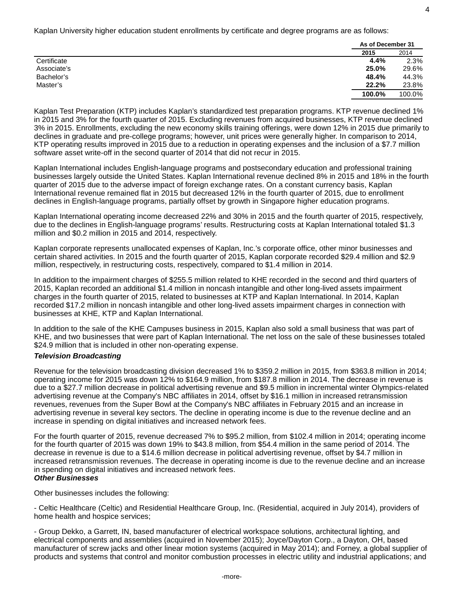Kaplan University higher education student enrollments by certificate and degree programs are as follows:

|             | As of December 31 |        |
|-------------|-------------------|--------|
|             | 2015              | 2014   |
| Certificate | 4.4%              | 2.3%   |
| Associate's | 25.0%             | 29.6%  |
| Bachelor's  | 48.4%             | 44.3%  |
| Master's    | 22.2%             | 23.8%  |
|             | 100.0%            | 100.0% |

Kaplan Test Preparation (KTP) includes Kaplan's standardized test preparation programs. KTP revenue declined 1% in 2015 and 3% for the fourth quarter of 2015. Excluding revenues from acquired businesses, KTP revenue declined 3% in 2015. Enrollments, excluding the new economy skills training offerings, were down 12% in 2015 due primarily to declines in graduate and pre-college programs; however, unit prices were generally higher. In comparison to 2014, KTP operating results improved in 2015 due to a reduction in operating expenses and the inclusion of a \$7.7 million software asset write-off in the second quarter of 2014 that did not recur in 2015.

Kaplan International includes English-language programs and postsecondary education and professional training businesses largely outside the United States. Kaplan International revenue declined 8% in 2015 and 18% in the fourth quarter of 2015 due to the adverse impact of foreign exchange rates. On a constant currency basis, Kaplan International revenue remained flat in 2015 but decreased 12% in the fourth quarter of 2015, due to enrollment declines in English-language programs, partially offset by growth in Singapore higher education programs.

Kaplan International operating income decreased 22% and 30% in 2015 and the fourth quarter of 2015, respectively, due to the declines in English-language programs' results. Restructuring costs at Kaplan International totaled \$1.3 million and \$0.2 million in 2015 and 2014, respectively.

Kaplan corporate represents unallocated expenses of Kaplan, Inc.'s corporate office, other minor businesses and certain shared activities. In 2015 and the fourth quarter of 2015, Kaplan corporate recorded \$29.4 million and \$2.9 million, respectively, in restructuring costs, respectively, compared to \$1.4 million in 2014.

In addition to the impairment charges of \$255.5 million related to KHE recorded in the second and third quarters of 2015, Kaplan recorded an additional \$1.4 million in noncash intangible and other long-lived assets impairment charges in the fourth quarter of 2015, related to businesses at KTP and Kaplan International. In 2014, Kaplan recorded \$17.2 million in noncash intangible and other long-lived assets impairment charges in connection with businesses at KHE, KTP and Kaplan International.

In addition to the sale of the KHE Campuses business in 2015, Kaplan also sold a small business that was part of KHE, and two businesses that were part of Kaplan International. The net loss on the sale of these businesses totaled \$24.9 million that is included in other non-operating expense.

### *Television Broadcasting*

Revenue for the television broadcasting division decreased 1% to \$359.2 million in 2015, from \$363.8 million in 2014; operating income for 2015 was down 12% to \$164.9 million, from \$187.8 million in 2014. The decrease in revenue is due to a \$27.7 million decrease in political advertising revenue and \$9.5 million in incremental winter Olympics-related advertising revenue at the Company's NBC affiliates in 2014, offset by \$16.1 million in increased retransmission revenues, revenues from the Super Bowl at the Company's NBC affiliates in February 2015 and an increase in advertising revenue in several key sectors. The decline in operating income is due to the revenue decline and an increase in spending on digital initiatives and increased network fees.

For the fourth quarter of 2015, revenue decreased 7% to \$95.2 million, from \$102.4 million in 2014; operating income for the fourth quarter of 2015 was down 19% to \$43.8 million, from \$54.4 million in the same period of 2014. The decrease in revenue is due to a \$14.6 million decrease in political advertising revenue, offset by \$4.7 million in increased retransmission revenues. The decrease in operating income is due to the revenue decline and an increase in spending on digital initiatives and increased network fees. *Other Businesses* 

Other businesses includes the following:

- Celtic Healthcare (Celtic) and Residential Healthcare Group, Inc. (Residential, acquired in July 2014), providers of home health and hospice services;

- Group Dekko, a Garrett, IN, based manufacturer of electrical workspace solutions, architectural lighting, and electrical components and assemblies (acquired in November 2015); Joyce/Dayton Corp., a Dayton, OH, based manufacturer of screw jacks and other linear motion systems (acquired in May 2014); and Forney, a global supplier of products and systems that control and monitor combustion processes in electric utility and industrial applications; and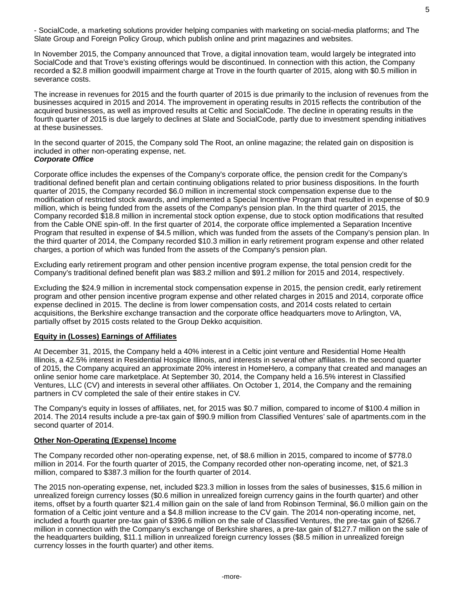- SocialCode, a marketing solutions provider helping companies with marketing on social-media platforms; and The Slate Group and Foreign Policy Group, which publish online and print magazines and websites.

In November 2015, the Company announced that Trove, a digital innovation team, would largely be integrated into SocialCode and that Trove's existing offerings would be discontinued. In connection with this action, the Company recorded a \$2.8 million goodwill impairment charge at Trove in the fourth quarter of 2015, along with \$0.5 million in severance costs.

The increase in revenues for 2015 and the fourth quarter of 2015 is due primarily to the inclusion of revenues from the businesses acquired in 2015 and 2014. The improvement in operating results in 2015 reflects the contribution of the acquired businesses, as well as improved results at Celtic and SocialCode. The decline in operating results in the fourth quarter of 2015 is due largely to declines at Slate and SocialCode, partly due to investment spending initiatives at these businesses.

In the second quarter of 2015, the Company sold The Root, an online magazine; the related gain on disposition is included in other non-operating expense, net.

### *Corporate Office*

Corporate office includes the expenses of the Company's corporate office, the pension credit for the Company's traditional defined benefit plan and certain continuing obligations related to prior business dispositions. In the fourth quarter of 2015, the Company recorded \$6.0 million in incremental stock compensation expense due to the modification of restricted stock awards, and implemented a Special Incentive Program that resulted in expense of \$0.9 million, which is being funded from the assets of the Company's pension plan. In the third quarter of 2015, the Company recorded \$18.8 million in incremental stock option expense, due to stock option modifications that resulted from the Cable ONE spin-off. In the first quarter of 2014, the corporate office implemented a Separation Incentive Program that resulted in expense of \$4.5 million, which was funded from the assets of the Company's pension plan. In the third quarter of 2014, the Company recorded \$10.3 million in early retirement program expense and other related charges, a portion of which was funded from the assets of the Company's pension plan.

Excluding early retirement program and other pension incentive program expense, the total pension credit for the Company's traditional defined benefit plan was \$83.2 million and \$91.2 million for 2015 and 2014, respectively.

Excluding the \$24.9 million in incremental stock compensation expense in 2015, the pension credit, early retirement program and other pension incentive program expense and other related charges in 2015 and 2014, corporate office expense declined in 2015. The decline is from lower compensation costs, and 2014 costs related to certain acquisitions, the Berkshire exchange transaction and the corporate office headquarters move to Arlington, VA, partially offset by 2015 costs related to the Group Dekko acquisition.

### **Equity in (Losses) Earnings of Affiliates**

At December 31, 2015, the Company held a 40% interest in a Celtic joint venture and Residential Home Health Illinois, a 42.5% interest in Residential Hospice Illinois, and interests in several other affiliates. In the second quarter of 2015, the Company acquired an approximate 20% interest in HomeHero, a company that created and manages an online senior home care marketplace. At September 30, 2014, the Company held a 16.5% interest in Classified Ventures, LLC (CV) and interests in several other affiliates. On October 1, 2014, the Company and the remaining partners in CV completed the sale of their entire stakes in CV.

The Company's equity in losses of affiliates, net, for 2015 was \$0.7 million, compared to income of \$100.4 million in 2014. The 2014 results include a pre-tax gain of \$90.9 million from Classified Ventures' sale of apartments.com in the second quarter of 2014.

### **Other Non-Operating (Expense) Income**

The Company recorded other non-operating expense, net, of \$8.6 million in 2015, compared to income of \$778.0 million in 2014. For the fourth quarter of 2015, the Company recorded other non-operating income, net, of \$21.3 million, compared to \$387.3 million for the fourth quarter of 2014.

The 2015 non-operating expense, net, included \$23.3 million in losses from the sales of businesses, \$15.6 million in unrealized foreign currency losses (\$0.6 million in unrealized foreign currency gains in the fourth quarter) and other items, offset by a fourth quarter \$21.4 million gain on the sale of land from Robinson Terminal, \$6.0 million gain on the formation of a Celtic joint venture and a \$4.8 million increase to the CV gain. The 2014 non-operating income, net, included a fourth quarter pre-tax gain of \$396.6 million on the sale of Classified Ventures, the pre-tax gain of \$266.7 million in connection with the Company's exchange of Berkshire shares, a pre-tax gain of \$127.7 million on the sale of the headquarters building, \$11.1 million in unrealized foreign currency losses (\$8.5 million in unrealized foreign currency losses in the fourth quarter) and other items.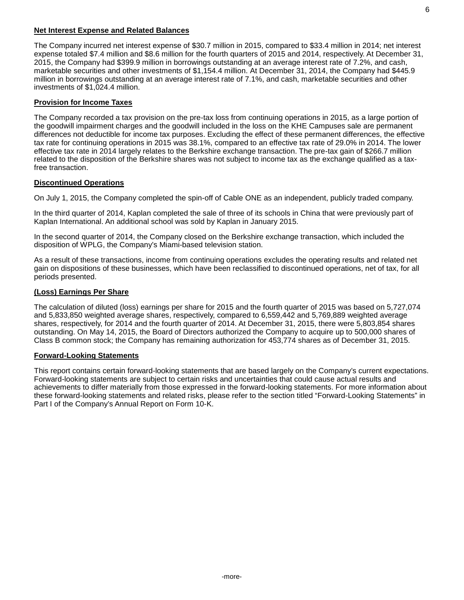#### **Net Interest Expense and Related Balances**

The Company incurred net interest expense of \$30.7 million in 2015, compared to \$33.4 million in 2014; net interest expense totaled \$7.4 million and \$8.6 million for the fourth quarters of 2015 and 2014, respectively. At December 31, 2015, the Company had \$399.9 million in borrowings outstanding at an average interest rate of 7.2%, and cash, marketable securities and other investments of \$1,154.4 million. At December 31, 2014, the Company had \$445.9 million in borrowings outstanding at an average interest rate of 7.1%, and cash, marketable securities and other investments of \$1,024.4 million.

### **Provision for Income Taxes**

The Company recorded a tax provision on the pre-tax loss from continuing operations in 2015, as a large portion of the goodwill impairment charges and the goodwill included in the loss on the KHE Campuses sale are permanent differences not deductible for income tax purposes. Excluding the effect of these permanent differences, the effective tax rate for continuing operations in 2015 was 38.1%, compared to an effective tax rate of 29.0% in 2014. The lower effective tax rate in 2014 largely relates to the Berkshire exchange transaction. The pre-tax gain of \$266.7 million related to the disposition of the Berkshire shares was not subject to income tax as the exchange qualified as a taxfree transaction.

#### **Discontinued Operations**

On July 1, 2015, the Company completed the spin-off of Cable ONE as an independent, publicly traded company.

In the third quarter of 2014, Kaplan completed the sale of three of its schools in China that were previously part of Kaplan International. An additional school was sold by Kaplan in January 2015.

In the second quarter of 2014, the Company closed on the Berkshire exchange transaction, which included the disposition of WPLG, the Company's Miami-based television station.

As a result of these transactions, income from continuing operations excludes the operating results and related net gain on dispositions of these businesses, which have been reclassified to discontinued operations, net of tax, for all periods presented.

### **(Loss) Earnings Per Share**

The calculation of diluted (loss) earnings per share for 2015 and the fourth quarter of 2015 was based on 5,727,074 and 5,833,850 weighted average shares, respectively, compared to 6,559,442 and 5,769,889 weighted average shares, respectively, for 2014 and the fourth quarter of 2014. At December 31, 2015, there were 5,803,854 shares outstanding. On May 14, 2015, the Board of Directors authorized the Company to acquire up to 500,000 shares of Class B common stock; the Company has remaining authorization for 453,774 shares as of December 31, 2015.

#### **Forward-Looking Statements**

This report contains certain forward-looking statements that are based largely on the Company's current expectations. Forward-looking statements are subject to certain risks and uncertainties that could cause actual results and achievements to differ materially from those expressed in the forward-looking statements. For more information about these forward-looking statements and related risks, please refer to the section titled "Forward-Looking Statements" in Part I of the Company's Annual Report on Form 10-K.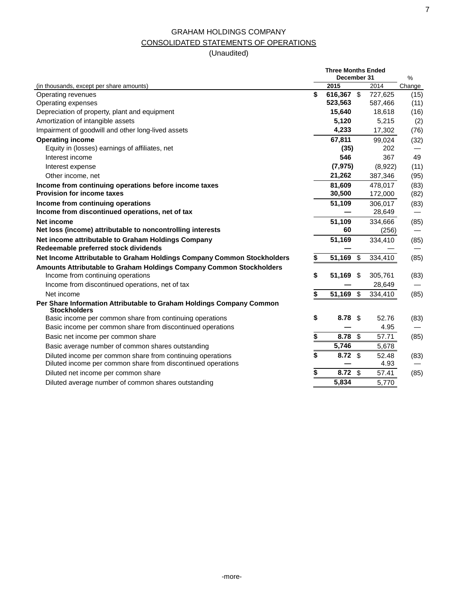# GRAHAM HOLDINGS COMPANY CONSOLIDATED STATEMENTS OF OPERATIONS

|                                                                                             | <b>Three Months Ended</b><br>December 31 |         | %      |  |
|---------------------------------------------------------------------------------------------|------------------------------------------|---------|--------|--|
| (in thousands, except per share amounts)                                                    | 2015                                     | 2014    | Change |  |
| Operating revenues                                                                          | \$<br>616,367 \$                         | 727,625 | (15)   |  |
| Operating expenses                                                                          | 523,563                                  | 587,466 | (11)   |  |
| Depreciation of property, plant and equipment                                               | 15,640                                   | 18,618  | (16)   |  |
| Amortization of intangible assets                                                           | 5,120                                    | 5,215   | (2)    |  |
| Impairment of goodwill and other long-lived assets                                          | 4,233                                    | 17,302  | (76)   |  |
| <b>Operating income</b>                                                                     | 67,811                                   | 99,024  | (32)   |  |
| Equity in (losses) earnings of affiliates, net                                              | (35)                                     | 202     |        |  |
| Interest income                                                                             | 546                                      | 367     | 49     |  |
| Interest expense                                                                            | (7, 975)                                 | (8,922) | (11)   |  |
| Other income, net                                                                           | 21,262                                   | 387,346 | (95)   |  |
| Income from continuing operations before income taxes                                       | 81,609                                   | 478,017 | (83)   |  |
| <b>Provision for income taxes</b>                                                           | 30,500                                   | 172,000 | (82)   |  |
| Income from continuing operations                                                           | 51,109                                   | 306,017 | (83)   |  |
| Income from discontinued operations, net of tax                                             |                                          | 28,649  |        |  |
| <b>Net income</b>                                                                           | 51,109                                   | 334,666 | (85)   |  |
| Net loss (income) attributable to noncontrolling interests                                  | 60                                       | (256)   |        |  |
| Net income attributable to Graham Holdings Company<br>Redeemable preferred stock dividends  | 51,169                                   | 334,410 | (85)   |  |
| Net Income Attributable to Graham Holdings Company Common Stockholders                      | \$<br>51,169 \$                          | 334,410 | (85)   |  |
| Amounts Attributable to Graham Holdings Company Common Stockholders                         |                                          |         |        |  |
| Income from continuing operations                                                           | \$<br>51,169<br>\$                       | 305,761 | (83)   |  |
| Income from discontinued operations, net of tax                                             |                                          | 28,649  |        |  |
| Net income                                                                                  | \$<br>51,169 \$                          | 334,410 | (85)   |  |
| Per Share Information Attributable to Graham Holdings Company Common<br><b>Stockholders</b> |                                          |         |        |  |
| Basic income per common share from continuing operations                                    | \$<br>8.78<br>\$                         | 52.76   | (83)   |  |
| Basic income per common share from discontinued operations                                  |                                          | 4.95    |        |  |
| Basic net income per common share                                                           | \$<br>\$<br>8.78                         | 57.71   | (85)   |  |
| Basic average number of common shares outstanding                                           | 5,746                                    | 5,678   |        |  |
| Diluted income per common share from continuing operations                                  | \$<br>8.72<br>\$                         | 52.48   | (83)   |  |
| Diluted income per common share from discontinued operations                                |                                          | 4.93    |        |  |
| Diluted net income per common share                                                         | \$<br>8.72<br>\$                         | 57.41   | (85)   |  |
| Diluted average number of common shares outstanding                                         | 5,834                                    | 5.770   |        |  |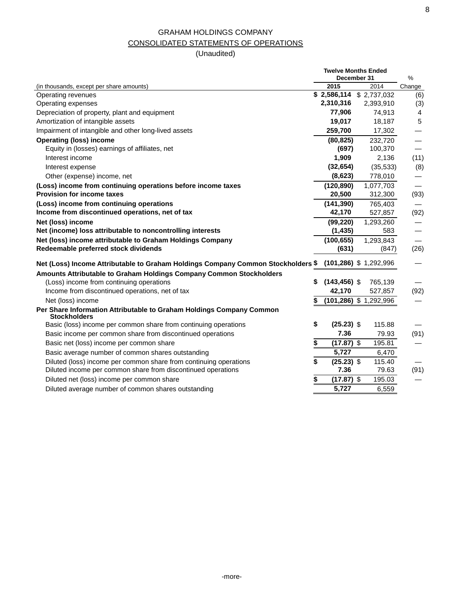## GRAHAM HOLDINGS COMPANY CONSOLIDATED STATEMENTS OF OPERATIONS

|                                                                                             | <b>Twelve Months Ended</b><br>December 31 | $\%$                      |        |  |
|---------------------------------------------------------------------------------------------|-------------------------------------------|---------------------------|--------|--|
| (in thousands, except per share amounts)                                                    | 2015                                      | 2014                      | Change |  |
| Operating revenues                                                                          |                                           | $$2,586,114$ $$2,737,032$ | (6)    |  |
| Operating expenses                                                                          | 2,310,316                                 | 2,393,910                 | (3)    |  |
| Depreciation of property, plant and equipment                                               | 77,906                                    | 74,913                    | 4      |  |
| Amortization of intangible assets                                                           | 19,017                                    | 18,187                    | 5      |  |
| Impairment of intangible and other long-lived assets                                        | 259,700                                   | 17,302                    |        |  |
| <b>Operating (loss) income</b>                                                              | (80, 825)                                 | 232,720                   |        |  |
| Equity in (losses) earnings of affiliates, net                                              | (697)                                     | 100,370                   |        |  |
| Interest income                                                                             | 1,909                                     | 2,136                     | (11)   |  |
| Interest expense                                                                            | (32, 654)                                 | (35, 533)                 | (8)    |  |
| Other (expense) income, net                                                                 | (8,623)                                   | 778,010                   |        |  |
| (Loss) income from continuing operations before income taxes                                | (120, 890)                                | 1,077,703                 |        |  |
| <b>Provision for income taxes</b>                                                           | 20,500                                    | 312,300                   | (93)   |  |
| (Loss) income from continuing operations                                                    | (141, 390)                                | 765,403                   |        |  |
| Income from discontinued operations, net of tax                                             | 42,170                                    | 527,857                   | (92)   |  |
| Net (loss) income                                                                           | (99, 220)                                 | 1,293,260                 |        |  |
| Net (income) loss attributable to noncontrolling interests                                  | (1, 435)                                  | 583                       |        |  |
| Net (loss) income attributable to Graham Holdings Company                                   | (100, 655)                                | 1,293,843                 |        |  |
| Redeemable preferred stock dividends                                                        | (631)                                     | (847)                     | (26)   |  |
| Net (Loss) Income Attributable to Graham Holdings Company Common Stockholders \$            |                                           | $(101, 286)$ \$ 1,292,996 |        |  |
| Amounts Attributable to Graham Holdings Company Common Stockholders                         |                                           |                           |        |  |
| (Loss) income from continuing operations                                                    | $(143, 456)$ \$<br>\$                     | 765,139                   |        |  |
| Income from discontinued operations, net of tax                                             | 42,170                                    | 527,857                   | (92)   |  |
| Net (loss) income                                                                           |                                           | $(101, 286)$ \$ 1,292,996 |        |  |
| Per Share Information Attributable to Graham Holdings Company Common<br><b>Stockholders</b> |                                           |                           |        |  |
| Basic (loss) income per common share from continuing operations                             | \$<br>$(25.23)$ \$                        | 115.88                    |        |  |
| Basic income per common share from discontinued operations                                  | 7.36                                      | 79.93                     | (91)   |  |
| Basic net (loss) income per common share                                                    | $(17.87)$ \$<br>\$                        | 195.81                    |        |  |
| Basic average number of common shares outstanding                                           | 5.727                                     | 6,470                     |        |  |
| Diluted (loss) income per common share from continuing operations                           | \$<br>$(25.23)$ \$                        | 115.40                    |        |  |
| Diluted income per common share from discontinued operations                                | 7.36                                      | 79.63                     | (91)   |  |
| Diluted net (loss) income per common share                                                  | \$<br>$(17.87)$ \$                        | 195.03                    |        |  |
| Diluted average number of common shares outstanding                                         | 5,727                                     | 6,559                     |        |  |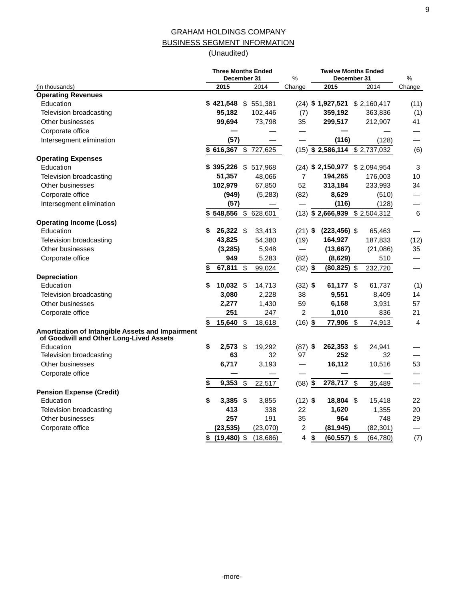# GRAHAM HOLDINGS COMPANY BUSINESS SEGMENT INFORMATION

|                                                                                             | <b>Three Months Ended</b><br>December 31 |              | %                        | <b>Twelve Months Ended</b><br>December 31 | %                                |                          |  |
|---------------------------------------------------------------------------------------------|------------------------------------------|--------------|--------------------------|-------------------------------------------|----------------------------------|--------------------------|--|
| (in thousands)                                                                              | 2015                                     | 2014         | Change                   | 2015                                      | 2014                             | Change                   |  |
| <b>Operating Revenues</b>                                                                   |                                          |              |                          |                                           |                                  |                          |  |
| Education                                                                                   | \$421,548 \$551,381                      |              |                          |                                           | (24) \$1,927,521 \$2,160,417     | (11)                     |  |
| Television broadcasting                                                                     | 95,182                                   | 102,446      | (7)                      | 359,192                                   | 363,836                          | (1)                      |  |
| Other businesses                                                                            | 99.694                                   | 73,798       | 35                       | 299,517                                   | 212,907                          | 41                       |  |
| Corporate office                                                                            |                                          |              |                          |                                           |                                  |                          |  |
| Intersegment elimination                                                                    | (57)                                     |              |                          | (116)                                     | (128)                            |                          |  |
|                                                                                             | \$616,367                                | \$727,625    |                          |                                           | $(15)$ \$ 2,586,114 \$ 2,737,032 | (6)                      |  |
| <b>Operating Expenses</b>                                                                   |                                          |              |                          |                                           |                                  |                          |  |
| Education                                                                                   | \$395,226 \$517,968                      |              |                          |                                           | (24) \$2,150,977 \$2,094,954     | $\mathbf{3}$             |  |
| Television broadcasting                                                                     | 51,357                                   | 48,066       | $\overline{7}$           | 194,265                                   | 176,003                          | 10                       |  |
| Other businesses                                                                            | 102,979                                  | 67,850       | 52                       | 313,184                                   | 233,993                          | 34                       |  |
| Corporate office                                                                            | (949)                                    | (5,283)      | (82)                     | 8,629                                     | (510)                            | $\overline{\phantom{0}}$ |  |
| Intersegment elimination                                                                    | (57)                                     |              |                          | (116)                                     | (128)                            |                          |  |
|                                                                                             | $$548,556$ \$                            | 628,601      |                          |                                           | $(13)$ \$ 2,666,939 \$ 2,504,312 | $\,6\,$                  |  |
| <b>Operating Income (Loss)</b>                                                              |                                          |              |                          |                                           |                                  |                          |  |
| Education                                                                                   | \$<br>26,322 \$                          | 33,413       | $(21)$ \$                | $(223, 456)$ \$                           | 65,463                           |                          |  |
| Television broadcasting                                                                     | 43,825                                   | 54,380       | (19)                     | 164,927                                   | 187,833                          | (12)                     |  |
| Other businesses                                                                            | (3, 285)                                 | 5,948        | $\overline{\phantom{0}}$ | (13, 667)                                 | (21,086)                         | 35                       |  |
| Corporate office                                                                            | 949                                      | 5,283        | (82)                     | (8,629)                                   | 510                              | —                        |  |
|                                                                                             | 67,811                                   | \$<br>99,024 | $(32)$ \$                | $(80, 825)$ \$                            | 232,720                          | $\overline{\phantom{0}}$ |  |
| <b>Depreciation</b>                                                                         |                                          |              |                          |                                           |                                  |                          |  |
| Education                                                                                   | \$<br>10,032 \$                          | 14,713       | $(32)$ \$                | 61,177 \$                                 | 61,737                           | (1)                      |  |
| Television broadcasting                                                                     | 3,080                                    | 2,228        | 38                       | 9,551                                     | 8,409                            | 14                       |  |
| Other businesses                                                                            | 2,277                                    | 1,430        | 59                       | 6,168                                     | 3,931                            | 57                       |  |
| Corporate office                                                                            | 251                                      | 247          | $\overline{2}$           | 1,010                                     | 836                              | 21                       |  |
|                                                                                             | \$<br>15,640                             | \$<br>18,618 | $(16)$ \$                | 77,906 \$                                 | 74,913                           | 4                        |  |
| Amortization of Intangible Assets and Impairment<br>of Goodwill and Other Long-Lived Assets |                                          |              |                          |                                           |                                  |                          |  |
| Education                                                                                   | \$<br>$2,573$ \$                         | 19,292       | $(87)$ \$                | 262,353 \$                                | 24,941                           |                          |  |
| Television broadcasting                                                                     | 63                                       | 32           | 97                       | 252                                       | 32                               |                          |  |
| Other businesses                                                                            | 6,717                                    | 3,193        |                          | 16,112                                    | 10,516                           | 53                       |  |
| Corporate office                                                                            |                                          |              |                          |                                           |                                  |                          |  |
|                                                                                             | \$<br>$9,353$ \$                         | 22,517       | $(58)$ \$                | 278,717 \$                                | 35,489                           |                          |  |
| <b>Pension Expense (Credit)</b>                                                             |                                          |              |                          |                                           |                                  |                          |  |
| Education                                                                                   | \$<br>$3,385$ \$                         | 3,855        | $(12)$ \$                | 18,804 \$                                 | 15,418                           | 22                       |  |
| Television broadcasting                                                                     | 413                                      | 338          | 22                       | 1,620                                     | 1,355                            | 20                       |  |
| Other businesses                                                                            | 257                                      | 191          | 35                       | 964                                       | 748                              | 29                       |  |
| Corporate office                                                                            | (23, 535)                                | (23,070)     | $\overline{c}$           | (81, 945)                                 | (82, 301)                        |                          |  |
|                                                                                             | \$<br>$(19, 480)$ \$                     | (18,686)     | 4                        | \$<br>$(60, 557)$ \$                      | (64, 780)                        | (7)                      |  |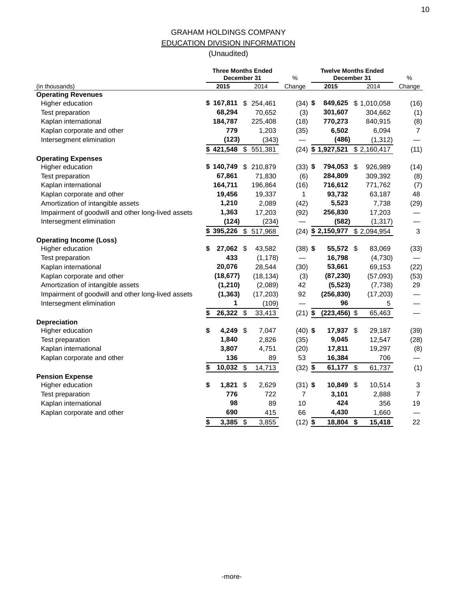## GRAHAM HOLDINGS COMPANY EDUCATION DIVISION INFORMATION

|                                                    |                 | <b>Three Months Ended</b><br>December 31 | %                        | <b>Twelve Months Ended</b><br>December 31 | %                         |                          |  |
|----------------------------------------------------|-----------------|------------------------------------------|--------------------------|-------------------------------------------|---------------------------|--------------------------|--|
| (in thousands)                                     | 2015            | 2014                                     | Change                   | 2015                                      | 2014                      | Change                   |  |
| <b>Operating Revenues</b>                          |                 |                                          |                          |                                           |                           |                          |  |
| Higher education                                   |                 | $$167,811$ \$ 254,461                    | $(34)$ \$                |                                           | 849,625 \$1,010,058       | (16)                     |  |
| Test preparation                                   | 68,294          | 70,652                                   | (3)                      | 301,607                                   | 304,662                   | (1)                      |  |
| Kaplan international                               | 184,787         | 225,408                                  | (18)                     | 770,273                                   | 840,915                   | (8)                      |  |
| Kaplan corporate and other                         | 779             | 1,203                                    | (35)                     | 6,502                                     | 6,094                     | $\overline{7}$           |  |
| Intersegment elimination                           | (123)           | (343)                                    |                          | (486)                                     | (1, 312)                  |                          |  |
|                                                    | 421,548         | \$<br>551,381                            |                          | $(24)$ \$ 1,927,521                       | \$2,160,417               | (11)                     |  |
| <b>Operating Expenses</b>                          |                 |                                          |                          |                                           |                           |                          |  |
| Higher education                                   | \$140,749       | \$ 210,879                               | $(33)$ \$                | 794,053 \$                                | 926,989                   | (14)                     |  |
| Test preparation                                   | 67,861          | 71,830                                   | (6)                      | 284,809                                   | 309,392                   | (8)                      |  |
| Kaplan international                               | 164,711         | 196,864                                  | (16)                     | 716,612                                   | 771,762                   | (7)                      |  |
| Kaplan corporate and other                         | 19,456          | 19,337                                   | 1                        | 93,732                                    | 63,187                    | 48                       |  |
| Amortization of intangible assets                  | 1,210           | 2,089                                    | (42)                     | 5,523                                     | 7,738                     | (29)                     |  |
| Impairment of goodwill and other long-lived assets | 1,363           | 17,203                                   | (92)                     | 256,830                                   | 17,203                    |                          |  |
| Intersegment elimination                           | (124)           | (234)                                    |                          | (582)                                     | (1, 317)                  | $\overline{\phantom{0}}$ |  |
|                                                    | \$395,226       | 517,968<br>\$                            | (24)                     |                                           | $$2,150,977$ $$2,094,954$ | 3                        |  |
| <b>Operating Income (Loss)</b>                     |                 |                                          |                          |                                           |                           |                          |  |
| Higher education                                   | \$<br>27,062 \$ | 43,582                                   | $(38)$ \$                | 55,572 \$                                 | 83,069                    | (33)                     |  |
| Test preparation                                   | 433             | (1, 178)                                 | $\overline{\phantom{0}}$ | 16,798                                    | (4,730)                   |                          |  |
| Kaplan international                               | 20,076          | 28,544                                   | (30)                     | 53,661                                    | 69,153                    | (22)                     |  |
| Kaplan corporate and other                         | (18, 677)       | (18, 134)                                | (3)                      | (87, 230)                                 | (57,093)                  | (53)                     |  |
| Amortization of intangible assets                  | (1, 210)        | (2,089)                                  | 42                       | (5, 523)                                  | (7, 738)                  | 29                       |  |
| Impairment of goodwill and other long-lived assets | (1, 363)        | (17, 203)                                | 92                       | (256, 830)                                | (17, 203)                 |                          |  |
| Intersegment elimination                           | 1               | (109)                                    |                          | 96                                        | 5                         |                          |  |
|                                                    | 26,322 \$<br>\$ | 33,413                                   | $(21)$ \$                | $(223, 456)$ \$                           | 65,463                    |                          |  |
| <b>Depreciation</b>                                |                 |                                          |                          |                                           |                           |                          |  |
| Higher education                                   | \$<br>4,249 \$  | 7,047                                    | $(40)$ \$                | 17,937 \$                                 | 29,187                    | (39)                     |  |
| Test preparation                                   | 1,840           | 2,826                                    | (35)                     | 9,045                                     | 12,547                    | (28)                     |  |
| Kaplan international                               | 3,807           | 4,751                                    | (20)                     | 17,811                                    | 19,297                    | (8)                      |  |
| Kaplan corporate and other                         | 136             | 89                                       | 53                       | 16,384                                    | 706                       |                          |  |
|                                                    | 10,032          | $\boldsymbol{\mathsf{S}}$<br>14,713      | $(32)$ \$                | 61,177 \$                                 | 61,737                    | (1)                      |  |
| <b>Pension Expense</b>                             |                 |                                          |                          |                                           |                           |                          |  |
| Higher education                                   | \$<br>1,821     | \$<br>2,629                              | $(31)$ \$                | 10,849 \$                                 | 10,514                    | 3                        |  |
| Test preparation                                   | 776             | 722                                      | 7                        | 3,101                                     | 2,888                     | $\overline{7}$           |  |
| Kaplan international                               | 98              | 89                                       | 10                       | 424                                       | 356                       | 19                       |  |
| Kaplan corporate and other                         | 690             | 415                                      | 66                       | 4,430                                     | 1,660                     |                          |  |
|                                                    | \$<br>3,385     | 3,855<br>\$                              | $(12)$ \$                | 18,804 \$                                 | 15,418                    | 22                       |  |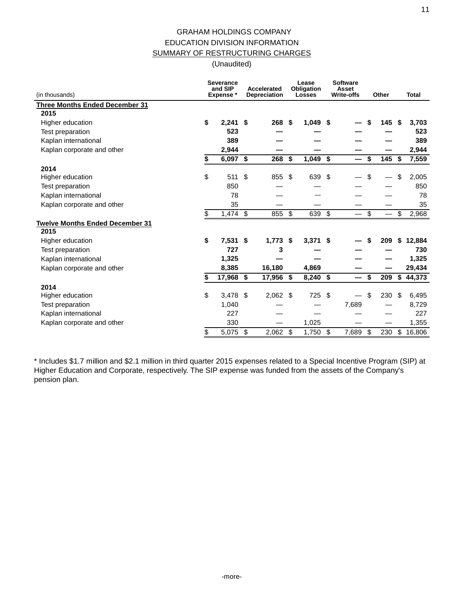(Unaudited)

| (in thousands)                         | <b>Severance</b><br>and SIP<br>Expense* |               | Accelerated<br><b>Depreciation</b> | Lease<br>Obligation<br><b>Losses</b> |     | <b>Software</b><br>Asset<br><b>Write-offs</b> | Other                          | <b>Total</b> |
|----------------------------------------|-----------------------------------------|---------------|------------------------------------|--------------------------------------|-----|-----------------------------------------------|--------------------------------|--------------|
| <b>Three Months Ended December 31</b>  |                                         |               |                                    |                                      |     |                                               |                                |              |
| 2015                                   |                                         |               |                                    |                                      |     |                                               |                                |              |
| Higher education                       | \$<br>$2.241$ \$                        |               | 268                                | \$<br>$1,049$ \$                     |     |                                               | \$<br>145                      | \$<br>3,703  |
| Test preparation                       | 523                                     |               |                                    |                                      |     |                                               |                                | 523          |
| Kaplan international                   | 389                                     |               |                                    |                                      |     |                                               |                                | 389          |
| Kaplan corporate and other             | 2,944                                   |               |                                    |                                      |     |                                               |                                | 2,944        |
|                                        | \$<br>$6,097$ \$                        |               | 268                                | \$<br>$1,049$ \$                     |     |                                               | \$<br>145                      | \$<br>7,559  |
| 2014                                   |                                         |               |                                    |                                      |     |                                               |                                |              |
| Higher education                       | \$<br>511                               | $\mathbf{\$}$ | 855                                | \$<br>639                            | \$  |                                               | \$                             | \$<br>2,005  |
| Test preparation                       | 850                                     |               |                                    |                                      |     |                                               |                                | 850          |
| Kaplan international                   | 78                                      |               |                                    |                                      |     |                                               |                                | 78           |
| Kaplan corporate and other             | 35                                      |               |                                    |                                      |     |                                               |                                | 35           |
|                                        | \$<br>$1,474$ \$                        |               | 855                                | \$<br>639                            | -\$ |                                               | \$<br>$\overline{\phantom{0}}$ | \$<br>2,968  |
| <b>Twelve Months Ended December 31</b> |                                         |               |                                    |                                      |     |                                               |                                |              |
| 2015                                   |                                         |               |                                    |                                      |     |                                               |                                |              |
| Higher education                       | \$<br>$7,531$ \$                        |               | $1,773$ \$                         | $3,371$ \$                           |     |                                               | \$<br>209                      | \$<br>12,884 |
| Test preparation                       | 727                                     |               | 3                                  |                                      |     |                                               |                                | 730          |
| Kaplan international                   | 1,325                                   |               |                                    |                                      |     |                                               |                                | 1,325        |
| Kaplan corporate and other             | 8,385                                   |               | 16,180                             | 4,869                                |     |                                               |                                | 29,434       |
|                                        | \$<br>17,968 \$                         |               | 17,956                             | \$<br>8,240 \$                       |     |                                               | \$<br>209                      | \$<br>44,373 |
| 2014                                   |                                         |               |                                    |                                      |     |                                               |                                |              |
| Higher education                       | \$<br>$3,478$ \$                        |               | 2,062                              | \$<br>725                            | \$  |                                               | \$<br>230                      | \$<br>6,495  |
| Test preparation                       | 1,040                                   |               |                                    |                                      |     | 7,689                                         |                                | 8,729        |
| Kaplan international                   | 227                                     |               |                                    |                                      |     |                                               |                                | 227          |
| Kaplan corporate and other             | 330                                     |               |                                    | 1,025                                |     |                                               |                                | 1,355        |
|                                        | \$<br>5,075 \$                          |               | 2,062                              | \$<br>1,750                          | -\$ | 7,689                                         | \$<br>230                      | \$<br>16,806 |

\* Includes \$1.7 million and \$2.1 million in third quarter 2015 expenses related to a Special Incentive Program (SIP) at Higher Education and Corporate, respectively. The SIP expense was funded from the assets of the Company's pension plan.